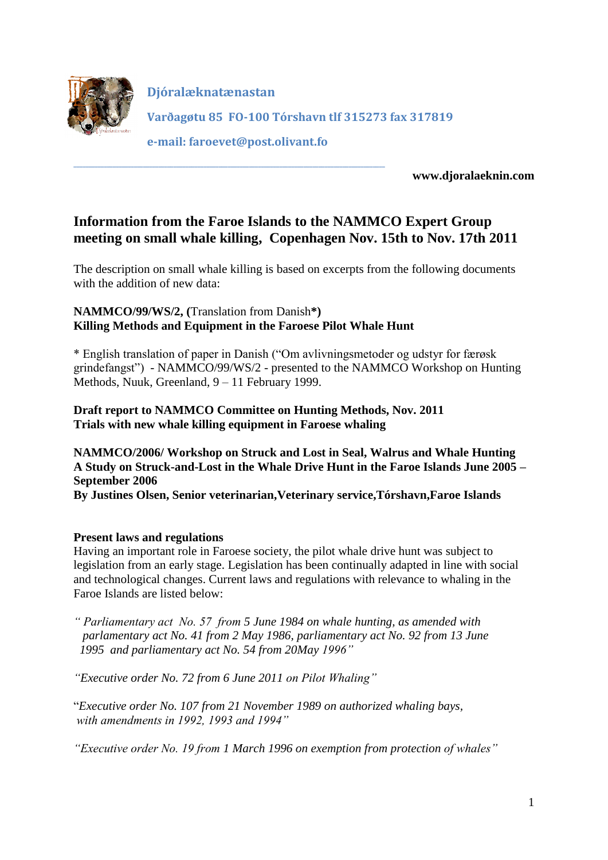

**Djóralæknatænastan Varðagøtu 85 FO-100 Tórshavn tlf 315273 fax 317819 e-mail: faroevet@post.olivant.fo**

**www.djoralaeknin.com**

# **Information from the Faroe Islands to the NAMMCO Expert Group meeting on small whale killing, Copenhagen Nov. 15th to Nov. 17th 2011**

The description on small whale killing is based on excerpts from the following documents with the addition of new data:

# **NAMMCO/99/WS/2, (**Translation from Danish**\*) Killing Methods and Equipment in the Faroese Pilot Whale Hunt**

**\_\_\_\_\_\_\_\_\_\_\_\_\_\_\_\_\_\_\_\_\_\_\_\_\_\_\_\_\_\_\_\_\_\_\_\_\_\_\_\_\_\_\_\_\_\_\_\_\_\_\_\_\_\_\_\_\_\_\_\_\_\_\_\_\_\_\_\_\_\_\_\_\_\_\_\_\_\_\_\_\_\_\_\_\_\_\_\_\_\_\_\_\_\_\_\_\_\_\_\_\_\_\_**

\* English translation of paper in Danish ("Om avlivningsmetoder og udstyr for færøsk grindefangst") - NAMMCO/99/WS/2 - presented to the NAMMCO Workshop on Hunting Methods, Nuuk, Greenland, 9 – 11 February 1999.

## **Draft report to NAMMCO Committee on Hunting Methods, Nov. 2011 Trials with new whale killing equipment in Faroese whaling**

**NAMMCO/2006/ Workshop on Struck and Lost in Seal, Walrus and Whale Hunting A Study on Struck-and-Lost in the Whale Drive Hunt in the Faroe Islands June 2005 – September 2006**

**By Justines Olsen, Senior veterinarian,Veterinary service,Tórshavn,Faroe Islands**

### **Present laws and regulations**

Having an important role in Faroese society, the pilot whale drive hunt was subject to legislation from an early stage. Legislation has been continually adapted in line with social and technological changes. Current laws and regulations with relevance to whaling in the Faroe Islands are listed below:

*" Parliamentary act No. 57 from 5 June 1984 on whale hunting, as amended with parlamentary act No. 41 from 2 May 1986, parliamentary act No. 92 from 13 June 1995 and parliamentary act No. 54 from 20May 1996"*

*"Executive order No. 72 from 6 June 2011 on Pilot Whaling"*

"*Executive order No. 107 from 21 November 1989 on authorized whaling bays, with amendments in 1992, 1993 and 1994"*

*"Executive order No. 19 from 1 March 1996 on exemption from protection of whales"*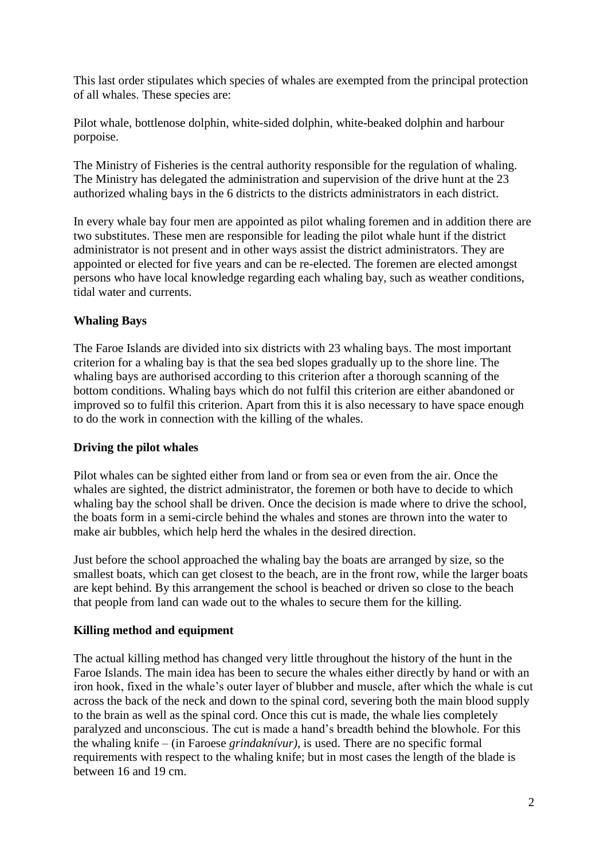This last order stipulates which species of whales are exempted from the principal protection of all whales. These species are:

Pilot whale, bottlenose dolphin, white-sided dolphin, white-beaked dolphin and harbour porpoise.

The Ministry of Fisheries is the central authority responsible for the regulation of whaling. The Ministry has delegated the administration and supervision of the drive hunt at the 23 authorized whaling bays in the 6 districts to the districts administrators in each district.

In every whale bay four men are appointed as pilot whaling foremen and in addition there are two substitutes. These men are responsible for leading the pilot whale hunt if the district administrator is not present and in other ways assist the district administrators. They are appointed or elected for five years and can be re-elected. The foremen are elected amongst persons who have local knowledge regarding each whaling bay, such as weather conditions, tidal water and currents.

## **Whaling Bays**

The Faroe Islands are divided into six districts with 23 whaling bays. The most important criterion for a whaling bay is that the sea bed slopes gradually up to the shore line. The whaling bays are authorised according to this criterion after a thorough scanning of the bottom conditions. Whaling bays which do not fulfil this criterion are either abandoned or improved so to fulfil this criterion. Apart from this it is also necessary to have space enough to do the work in connection with the killing of the whales.

### **Driving the pilot whales**

Pilot whales can be sighted either from land or from sea or even from the air. Once the whales are sighted, the district administrator, the foremen or both have to decide to which whaling bay the school shall be driven. Once the decision is made where to drive the school, the boats form in a semi-circle behind the whales and stones are thrown into the water to make air bubbles, which help herd the whales in the desired direction.

Just before the school approached the whaling bay the boats are arranged by size, so the smallest boats, which can get closest to the beach, are in the front row, while the larger boats are kept behind. By this arrangement the school is beached or driven so close to the beach that people from land can wade out to the whales to secure them for the killing.

### **Killing method and equipment**

The actual killing method has changed very little throughout the history of the hunt in the Faroe Islands. The main idea has been to secure the whales either directly by hand or with an iron hook, fixed in the whale's outer layer of blubber and muscle, after which the whale is cut across the back of the neck and down to the spinal cord, severing both the main blood supply to the brain as well as the spinal cord. Once this cut is made, the whale lies completely paralyzed and unconscious. The cut is made a hand's breadth behind the blowhole. For this the whaling knife – (in Faroese *grindaknívur)*, is used. There are no specific formal requirements with respect to the whaling knife; but in most cases the length of the blade is between 16 and 19 cm.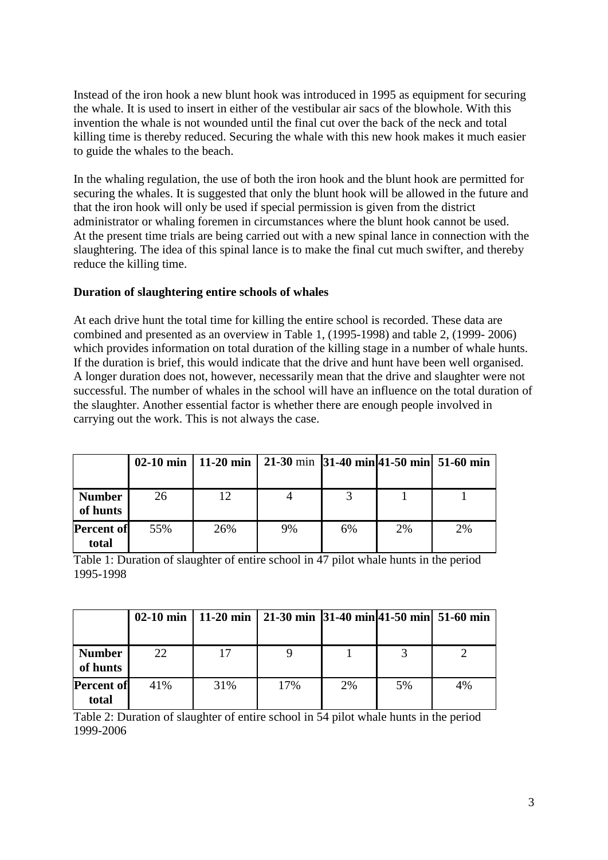Instead of the iron hook a new blunt hook was introduced in 1995 as equipment for securing the whale. It is used to insert in either of the vestibular air sacs of the blowhole. With this invention the whale is not wounded until the final cut over the back of the neck and total killing time is thereby reduced. Securing the whale with this new hook makes it much easier to guide the whales to the beach.

In the whaling regulation, the use of both the iron hook and the blunt hook are permitted for securing the whales. It is suggested that only the blunt hook will be allowed in the future and that the iron hook will only be used if special permission is given from the district administrator or whaling foremen in circumstances where the blunt hook cannot be used. At the present time trials are being carried out with a new spinal lance in connection with the slaughtering. The idea of this spinal lance is to make the final cut much swifter, and thereby reduce the killing time.

#### **Duration of slaughtering entire schools of whales**

At each drive hunt the total time for killing the entire school is recorded. These data are combined and presented as an overview in Table 1, (1995-1998) and table 2, (1999- 2006) which provides information on total duration of the killing stage in a number of whale hunts. If the duration is brief, this would indicate that the drive and hunt have been well organised. A longer duration does not, however, necessarily mean that the drive and slaughter were not successful. The number of whales in the school will have an influence on the total duration of the slaughter. Another essential factor is whether there are enough people involved in carrying out the work. This is not always the case.

|                            |     | 02-10 min   11-20 min | $\vert$ 21-30 min $\vert$ 31-40 min $\vert$ 41-50 min $\vert$ 51-60 min |    |    |    |
|----------------------------|-----|-----------------------|-------------------------------------------------------------------------|----|----|----|
| <b>Number</b><br>of hunts  | 26  | 12.                   |                                                                         |    |    |    |
| <b>Percent of</b><br>total | 55% | 26%                   | 9%                                                                      | 6% | 2% | 2% |

Table 1: Duration of slaughter of entire school in 47 pilot whale hunts in the period 1995-1998

|                   |     | 02-10 min   11-20 min   21-30 min   31-40 min   41-50 min   51-60 min |     |    |     |    |
|-------------------|-----|-----------------------------------------------------------------------|-----|----|-----|----|
|                   |     |                                                                       |     |    |     |    |
| <b>Number</b>     | 22  | 17                                                                    |     |    |     |    |
| of hunts          |     |                                                                       |     |    |     |    |
| <b>Percent of</b> | 41% | 31%                                                                   | 17% | 2% | .5% | 4% |
| total             |     |                                                                       |     |    |     |    |

Table 2: Duration of slaughter of entire school in 54 pilot whale hunts in the period 1999-2006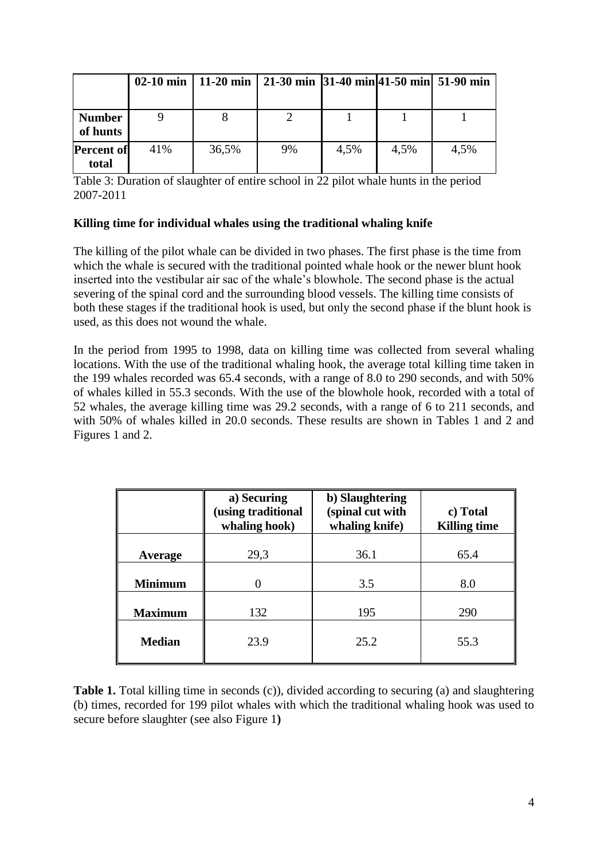|                            |     | 02-10 min   11-20 min   21-30 min   31-40 min   41-50 min   51-90 min |    |      |      |      |
|----------------------------|-----|-----------------------------------------------------------------------|----|------|------|------|
| <b>Number</b><br>of hunts  |     |                                                                       |    |      |      |      |
| <b>Percent of</b><br>total | 41% | 36,5%                                                                 | 9% | 4.5% | 4,5% | 4,5% |

Table 3: Duration of slaughter of entire school in 22 pilot whale hunts in the period 2007-2011

#### **Killing time for individual whales using the traditional whaling knife**

The killing of the pilot whale can be divided in two phases. The first phase is the time from which the whale is secured with the traditional pointed whale hook or the newer blunt hook inserted into the vestibular air sac of the whale's blowhole. The second phase is the actual severing of the spinal cord and the surrounding blood vessels. The killing time consists of both these stages if the traditional hook is used, but only the second phase if the blunt hook is used, as this does not wound the whale.

In the period from 1995 to 1998, data on killing time was collected from several whaling locations. With the use of the traditional whaling hook, the average total killing time taken in the 199 whales recorded was 65.4 seconds, with a range of 8.0 to 290 seconds, and with 50% of whales killed in 55.3 seconds. With the use of the blowhole hook, recorded with a total of 52 whales, the average killing time was 29.2 seconds, with a range of 6 to 211 seconds, and with 50% of whales killed in 20.0 seconds. These results are shown in Tables 1 and 2 and Figures 1 and 2.

|                | a) Securing<br>(using traditional<br>whaling hook) | b) Slaughtering<br>(spinal cut with<br>whaling knife) | c) Total<br><b>Killing time</b> |  |
|----------------|----------------------------------------------------|-------------------------------------------------------|---------------------------------|--|
| Average        | 29,3                                               | 36.1                                                  | 65.4                            |  |
| <b>Minimum</b> | 0                                                  | 3.5                                                   | 8.0                             |  |
| <b>Maximum</b> | 132                                                | 195                                                   | 290                             |  |
| <b>Median</b>  | 23.9                                               | 25.2                                                  | 55.3                            |  |

**Table 1.** Total killing time in seconds (c)), divided according to securing (a) and slaughtering (b) times, recorded for 199 pilot whales with which the traditional whaling hook was used to secure before slaughter (see also Figure 1**)**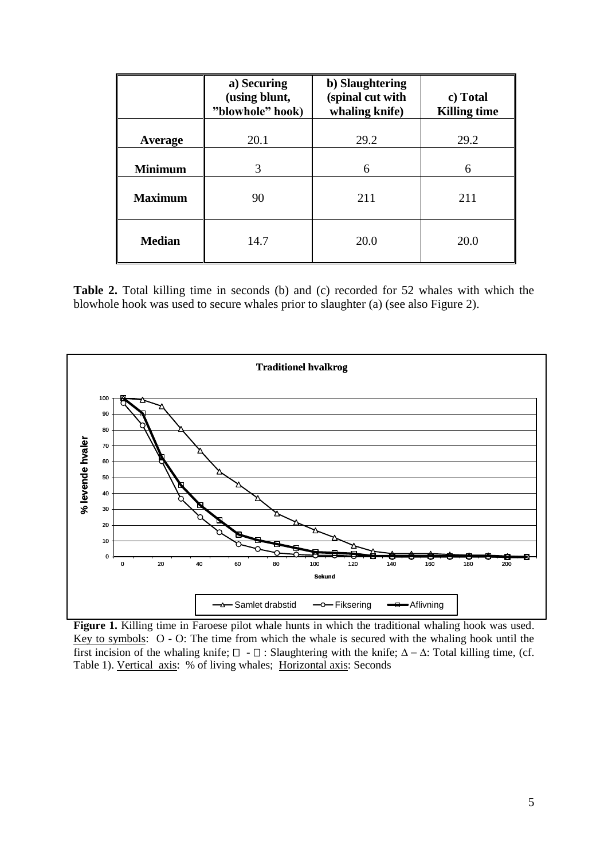|                | a) Securing<br>(using blunt,<br>"blowhole" hook) | b) Slaughtering<br>(spinal cut with<br>whaling knife) | c) Total<br><b>Killing time</b> |
|----------------|--------------------------------------------------|-------------------------------------------------------|---------------------------------|
| Average        | 20.1                                             | 29.2                                                  | 29.2                            |
| <b>Minimum</b> | 3                                                | 6                                                     | 6                               |
| <b>Maximum</b> | 90                                               | 211                                                   | 211                             |
| <b>Median</b>  | 14.7                                             | 20.0                                                  | 20.0                            |

**Table 2.** Total killing time in seconds (b) and (c) recorded for 52 whales with which the blowhole hook was used to secure whales prior to slaughter (a) (see also Figure 2).



**Figure 1.** Killing time in Faroese pilot whale hunts in which the traditional whaling hook was used. Key to symbols:  $O - O$ : The time from which the whale is secured with the whaling hook until the first incision of the whaling knife;  $\Box$  -  $\Box$ : Slaughtering with the knife;  $\Delta - \Delta$ : Total killing time, (cf. Table 1). Vertical axis: % of living whales; Horizontal axis: Seconds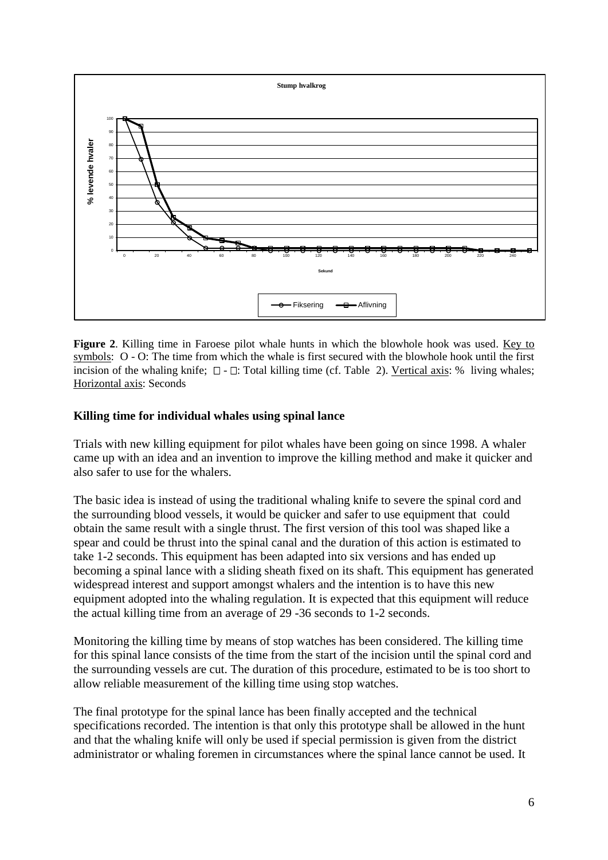

**Figure 2**. Killing time in Faroese pilot whale hunts in which the blowhole hook was used. Key to symbols: O - O: The time from which the whale is first secured with the blowhole hook until the first incision of the whaling knife;  $\Box$  -  $\Box$ : Total killing time (cf. Table 2). <u>Vertical axis</u>: % living whales; Horizontal axis: Seconds

### **Killing time for individual whales using spinal lance**

Trials with new killing equipment for pilot whales have been going on since 1998. A whaler came up with an idea and an invention to improve the killing method and make it quicker and also safer to use for the whalers.

The basic idea is instead of using the traditional whaling knife to severe the spinal cord and the surrounding blood vessels, it would be quicker and safer to use equipment that could obtain the same result with a single thrust. The first version of this tool was shaped like a spear and could be thrust into the spinal canal and the duration of this action is estimated to take 1-2 seconds. This equipment has been adapted into six versions and has ended up becoming a spinal lance with a sliding sheath fixed on its shaft. This equipment has generated widespread interest and support amongst whalers and the intention is to have this new equipment adopted into the whaling regulation. It is expected that this equipment will reduce the actual killing time from an average of 29 -36 seconds to 1-2 seconds.

Monitoring the killing time by means of stop watches has been considered. The killing time for this spinal lance consists of the time from the start of the incision until the spinal cord and the surrounding vessels are cut. The duration of this procedure, estimated to be is too short to allow reliable measurement of the killing time using stop watches.

The final prototype for the spinal lance has been finally accepted and the technical specifications recorded. The intention is that only this prototype shall be allowed in the hunt and that the whaling knife will only be used if special permission is given from the district administrator or whaling foremen in circumstances where the spinal lance cannot be used. It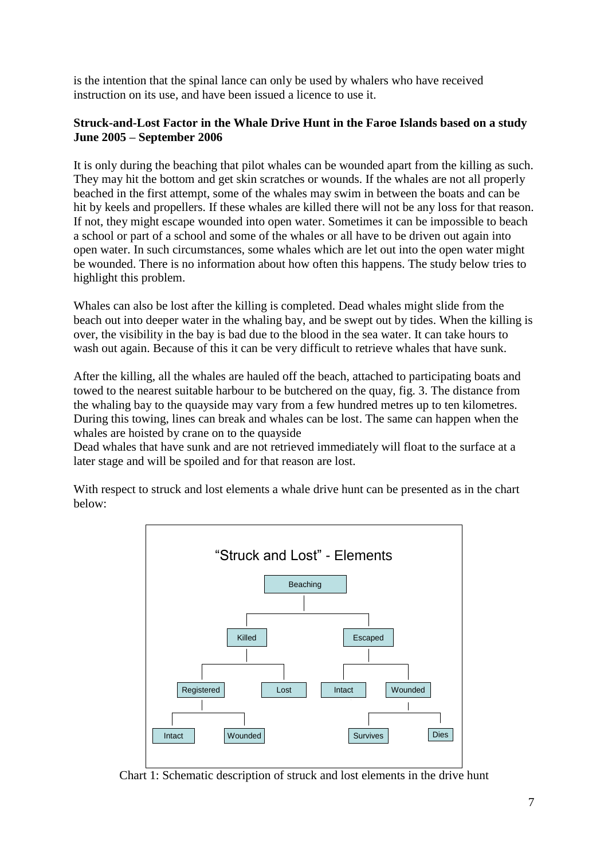is the intention that the spinal lance can only be used by whalers who have received instruction on its use, and have been issued a licence to use it.

### **Struck-and-Lost Factor in the Whale Drive Hunt in the Faroe Islands based on a study June 2005 – September 2006**

It is only during the beaching that pilot whales can be wounded apart from the killing as such. They may hit the bottom and get skin scratches or wounds. If the whales are not all properly beached in the first attempt, some of the whales may swim in between the boats and can be hit by keels and propellers. If these whales are killed there will not be any loss for that reason. If not, they might escape wounded into open water. Sometimes it can be impossible to beach a school or part of a school and some of the whales or all have to be driven out again into open water. In such circumstances, some whales which are let out into the open water might be wounded. There is no information about how often this happens. The study below tries to highlight this problem.

Whales can also be lost after the killing is completed. Dead whales might slide from the beach out into deeper water in the whaling bay, and be swept out by tides. When the killing is over, the visibility in the bay is bad due to the blood in the sea water. It can take hours to wash out again. Because of this it can be very difficult to retrieve whales that have sunk.

After the killing, all the whales are hauled off the beach, attached to participating boats and towed to the nearest suitable harbour to be butchered on the quay, fig. 3. The distance from the whaling bay to the quayside may vary from a few hundred metres up to ten kilometres. During this towing, lines can break and whales can be lost. The same can happen when the whales are hoisted by crane on to the quayside

Dead whales that have sunk and are not retrieved immediately will float to the surface at a later stage and will be spoiled and for that reason are lost.

With respect to struck and lost elements a whale drive hunt can be presented as in the chart below:



Chart 1: Schematic description of struck and lost elements in the drive hunt